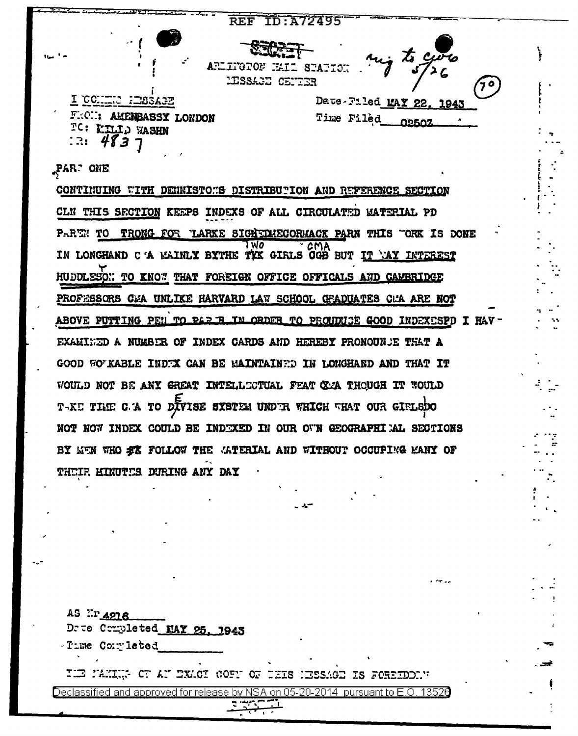

PAR. ONE

CONTINUING WITH DENKISTOMS DISTRIBUTION AND REFERENCE SECTION CLN THIS SECTION KEEPS INDEXS OF ALL CIRCULATED MATERIAL PD PARTN TO TRONG FOR LARKE SIGNEDUECORMACK PARN THIS TORK IS DONE IN LONGHAND C'A MAINLY BYTHE TYX GIRLS CGB BUT IT MAY INTEREST HUDDLESON TO KNOW THAT FOREIGN OFFICE OFFICALS AND CAMBRIDGE PROFESSORS CEA UNLIKE HARVARD LAW SCHOOL GEADUATES CEA ARE NOT ABOVE PUTTING PEN TO PAR R IN ORDER TO PROUDUCE GOOD INDEXESPD I HAV-EXAMINED A NUMBER OF INDEX CARDS AND HEREBY PRONOUNCE THAT A GOOD WOTKABLE INDTX CAN BE MAINTAINTD IN LONGHAND AND THAT IT WOULD NOT BE ANY GREAT INTELLOCTUAL FEAT CAA THOUGH IT WOULD T-KE TIME C.A TO DIVISE SYSTEM UNDER WHICH WHAT OUR GIRLSDO NOT NOW INDEX COULD BE INDEXED IN OUR OWN GEOGRAPHIEL AL SECTIONS BY KEN WHO ST FOLLOW THE CATERIAL AND WITHOUT OCCUPING MANY OF THEIR MINUTES DURING ANY DAY

| AS ErA216<br>Drue Completed NAY 25, 1943                                        |  |
|---------------------------------------------------------------------------------|--|
| -Time Completed<br>THE MAKING OF AN EXACT COFN OF THIS HESSAGE IS FOREEDOMY     |  |
| approved for release by NSA on<br>Declassified and I<br>the state of the party. |  |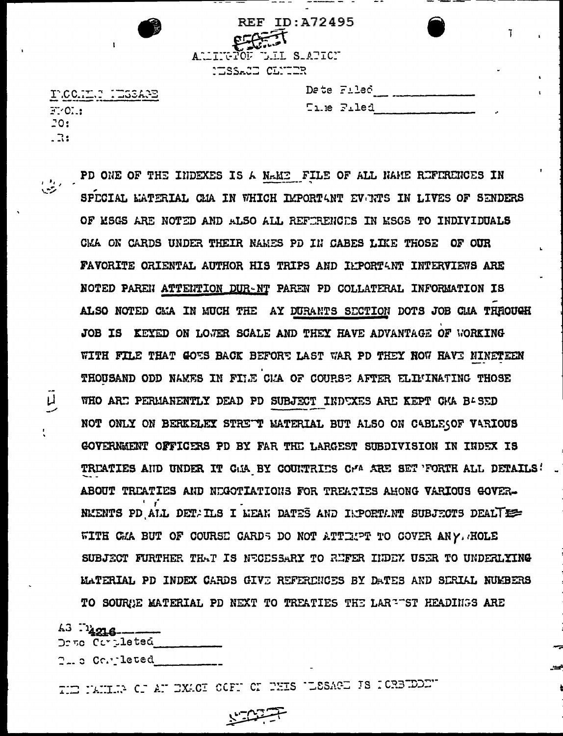| <b>Ty</b> | <b>REF ID: A72495</b><br>ARLINGTON DEL SLATICI<br>CISSACI CLUIR |  |
|-----------|-----------------------------------------------------------------|--|
| .         | Date Filed                                                      |  |

INCC.II  $F: C \rightarrow$  $20:$  $\overline{\mathbf{R}}$ 

 $\mathsf{L}$ 

| Date Filed |
|------------|
| Time Filed |

PD ONE OF THE INDEXES IS A NAME FILE OF ALL NAME REFERENCES IN SPECIAL EATERIAL CHA IN WHICH IMPORTANT EVENTS IN LIVES OF SENDERS OF MSGS ARE NOTED AND ALSO ALL REFERENCES IN MSGS TO INDIVIDUALS CMA ON CARDS UNDER THEIR NAMES PD IN CABES LIKE THOSE OF OUR FAVORITE ORIENTAL AUTHOR HIS TRIPS AND ILPORTANT INTERVIEWS ARE NOTED PAREN ATTENTION DUR-NT PAREN PD COLLATERAL INFORMATION IS ALSO NOTED CEA IN MUCH THE AY DURANTS SECTION DOTS JOB CEA THROUGH JOB IS KEYED ON LOWER SCALE AND THEY HAVE ADVANTAGE OF WORKING WITH FILE THAT GOES BACK BEFORE LAST WAR PD THEY NOW HAVE NINETEEN THOUSAND ODD NAMES IN FILE CMA OF COURSE AFTER ELIMINATING THOSE WHO ARE PERMANENTLY DEAD PD SUBJECT INDEXES ARE KEPT GMA BASED NOT ONLY ON BERKELEY STREWT MATERIAL BUT ALSO ON CABLESOF VARIOUS GOVERNMENT OFFICERS PD BY FAR THE LARGEST SUBDIVISION IN INDEX IS TREATIES AND UNDER IT CAR BY COUNTRIES CHA ARE SET FORTH ALL DETAILS! ABOUT TREATIES AND NEGOTIATIONS FOR TREATIES AHONG VARIOUS GOVER-NEENTS PD ALL DET. ILS I MEAN DATES AND INPORTANT SUBJECTS DEALTEE WITH CMA BUT OF COURSE CARDS DO NOT ATTEMPT TO COVER ANY. HOLE SUBJECT FURTHER THAT IS NECESSARY TO REFER HIDEY USER TO UNDERLYING MATERIAL PD INDEX CARDS GIVE REFERENCES BY DATES AND SERIAL NUMBERS TO SOURGE MATERIAL PD NEXT TO TREATIES THE LARRET HEADINGS ARE

A3 Th<sub>4216</sub> Demo Completed  $\mathbb{C}_{++}$  of  $\mathbb{C}_{++}$  . Letted with  $\mathbb{C}_{++}$ 

THE PANILR OF AN EXACT OCFN ON PHIS ULSSAGE IS POREEDED.

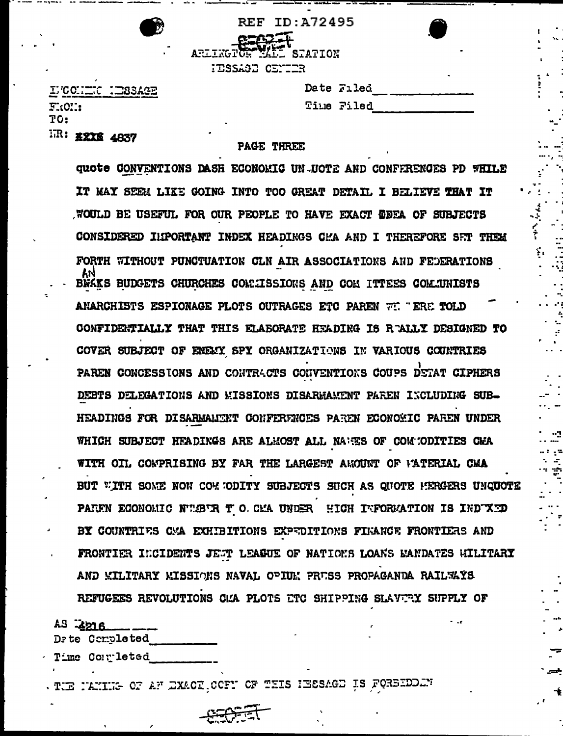|                        | REF ID: A72495 |
|------------------------|----------------|
| ARLINGTON MALL STATION |                |
|                        |                |
| HESSAGE CENTER         |                |

LUCONIUC NIESAGE  $F_{\alpha}$ (OH: TO: IR: #2X6 4837

### PAGE THREE

Date Filed

Time Filed

чŠ,

quote CONVENTIONS DASH ECONOMIC UN UOTE AND CONFFRENCES PD WHILE IT MAY SEEM LIKE GOING INTO TOO GREAT DETAIL I BELIEVE THAT IT WOULD BE USEFUL FOR OUR PEOPLE TO HAVE EXACT WEEA OF SUBJECTS CONSIDERED INPORTANT INDEX HEADINGS CHA AND I THEREFORE SET THEM FORTH WITHOUT PUNCTUATION CLN AIR ASSOCIATIONS AND FEDERATIONS BRAKS BUDGETS CHURCHES COMMISSIONS AND COM ITTEES COMMUNISTS ANARCHISTS ESPIONAGE PLOTS OUTRAGES ETC PAREN FT. "ERE TOLD CONFIDENTIALLY THAT THIS ELABORATE HEADING IS RAALLY DESIGNED TO COVER SUBJECT OF ENEMY SPY ORGANIZATIONS IN VARIOUS COUNTRIES PAREN CONCESSIONS AND CONTRACTS CONVENTIONS COUPS DETAT CIPHERS DEBTS DELEGATIONS AND MISSIONS DISARMAMENT PAREN INCLUDING SUB-HEADINGS FOR DISARMANTRT CONFERENCES PAREN ECONOMIC PAREN UNDER WHICH SUBJECT HEADINGS ARE ALMOST ALL NAMES OF COMMODITIES CMA WITH OIL COMPRISING BY FAR THE LARGEST AMOUNT OF FATERIAL CMA BUT WITH SOME NON COMMODITY SUBJECTS SUCH AS QUOTE MERGERS UNQUOTE PAREN ECONOMIC NUEVE TO CEA UNDER HIGH INFORMATION IS INDUCT BY COUNTRIES OMA EXHIBITIONS EXPEDITIONS FIRANCE FRONTIERS AND FRONTIER INCIDENTS JEST LEAGUE OF NATIONS LOANS MANDATES WILITARY AND WILITARY WISSIONS NAVAL OPIUM PRUSS PROPAGANDA RAILWAYS REFUGEES REVOLUTIONS CAA PLOTS ETC SHIPPING SLAVERY SUPPLY OF

| $45 - 2216 - 7$ |
|-----------------|
| Dete Completed  |
| Timo Corrleted  |

THE NAMILE OF AF EXACT COCFN OF THIS INSSAGE IS FORSIDEN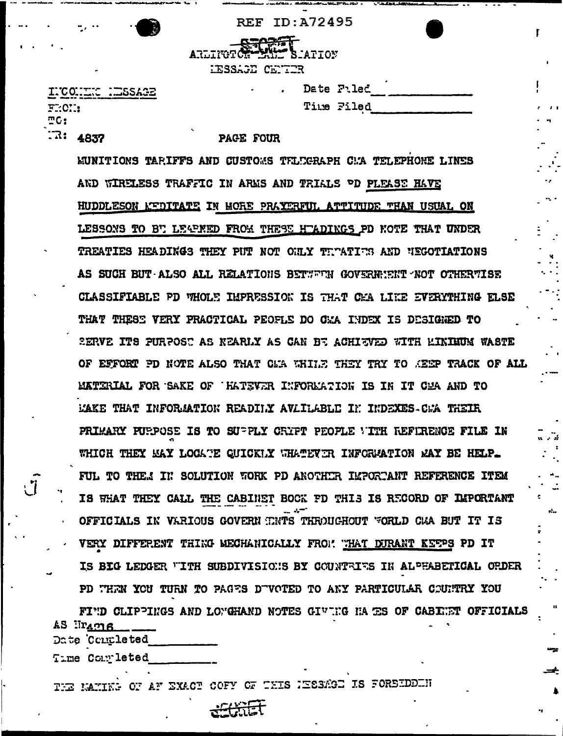**REF ID: A72495** 



INCONTIC HESSAGE FROM:  $TC:$  $\sqrt{3}$ : 4837

Date Filed Time Filed r

### **PAGE FOUR**

WUNITIONS TARIFFS AND CUSTOMS TELEGRAPH CMA TELEPHONE LINES AND WIRELESS TRAFFIC IN ARMS AND TRIALS OD PLEASE HAVE HUDDLESON REDITATE IN HORE PRAYERFUL ATTITUDE THAN USUAL ON LESSONS TO BT LEAPNED FROM THESE HTADINGS PD NOTE THAT UNDER TREATIES HEADINGS THEY PUT NOT OULY TEMATIES AND NEGOTIATIONS AS SUCH BUT ALSO ALL RELATIONS BETWEEN GOVERNIENT NOT OTHERTISE CLASSIFIABLE PD VHOLE IMPRESSION IS THAT CHA LIKE EVERYTHING ELSE THAT THESE VERY PRACTICAL PEOFLE DO CHA INDEX IS DESIGNED TO SERVE ITS PURPOST AS NEARLY AS CAN BE ACHIEVED WITH LINIMUM WASTE OF EFFORT PD NOTE ALSO THAT CLA WHILE THEY TRY TO KEEP TRACK OF ALL MATERIAL FOR SAKE OF HATEVER INFORMATION IS IN IT CMA AND TO MAKE THAT INFORMATION READILY AVAILABLE IN INDEXES CWA THEIR PRIMARY PURPOSE IS TO SUPPLY CRYPT PEOPLE WITH REFIRENCE FILE IN WHICH THEY MAY LOCATE QUICKLY WHATEVER INFORMATION MAY BE HELP. FUL TO THE.1 IN SOLUTION WORK PD ANOTHER IMPORTANT REFERENCE ITEM IS WHAT THEY CALL THE CABINET BOCK FD THIS IS RECORD OF IMPORTANT OFFICIALS IN VARIOUS GOVERN TNTS THROUGHOUT WORLD CAA BUT IT IS VERY DIFFERENT THING MECHANICALLY FROM THAT DURANT KETPS PD IT IS BIG LEDGER "ITH SUBDIVISIONS BY COUNTRIES IN ALPHABETICAL ORDER PD THEN YOU TURN TO PAGES DUVOTED TO ANY PARTICULAR COUNTRY YOU

FIND CLIPPINGS AND LONGHAND NOTES GIVING HAS SOF CABENET OFFICIALS  $A5$   $\lim_{\Omega}$ Date Contleted

Time Completed

THE MAXIME OF AF EXACT COFY OF THIS IESSAGE IS FORSIDDEN

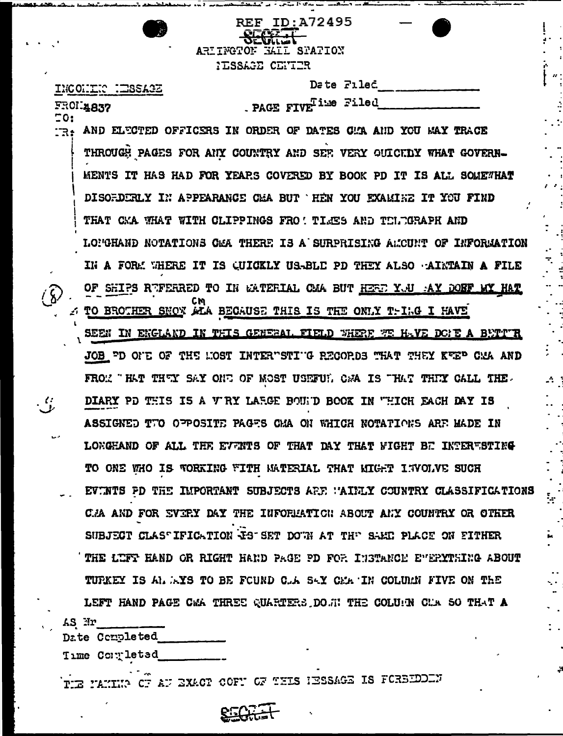|        | ID:A72495<br>REF<br>ARIINGTON<br><b>EATL SPATION</b>                |
|--------|---------------------------------------------------------------------|
|        | <b>ILSSAGE CENTER</b>                                               |
|        | <b>Date Filed</b><br>INCONING NESSAGE                               |
|        | . PAGE FIVE iwe Filed<br>FROI.4837                                  |
| 50:    | AND ELECTED OFFICERS IN ORDER OF DATES GAA AND YOU WAY TRACE        |
|        | THROUGH PAGES FOR ANY COUNTRY AND SEF. VERY QUICKDY WHAT GOVERN-    |
|        | MENTS IT HAS HAD FOR YEARS COVERED BY BOOK PD IT IS ALL SOMEWHAT    |
|        | DISOFDERLY IN APPEARANCE CHA BUT THEN YOU EXAMINE IT YOU FIND       |
|        | THAT CKA WHAT WITH CLIPPINGS FRO! TIMES AND TELTGRAPH AND           |
|        | LONGHAND NOTATIONS CAA THERE IS A SURPRISING ALCUNT OF INFORMATION  |
|        | IN A FORM WHERE IT IS QUICKLY US-BLE PD THEY ALSO AINTAIN A FILE    |
|        | OF SHIPS REFERRED TO IN GATERIAL CAA BUT HERE YOU AY DOBF MY HAT    |
|        | TO BROTHER SNOY ALA BECAUSE THIS IS THE ONLY THING I HAVE           |
|        | SEEN IN ENGLAND IN THIS GENERAL FIELD WHERE WE HAVE DONE A BUTT'R   |
|        | JOB PD OFE OF THE MOST INTERPSTIPG RECORDS THAT THEY KEEP CAA AND   |
|        | THEY SAY ONE OF MOST USEFUL CAA IS THAT THEY CALL THE.              |
|        | DIARY PD THIS IS A VIRY LARGE BOUTD BOOK IN WHICH EACH DAY IS       |
|        | ASSIGNED TTO OPPOSITE PAGES CMA ON WHICH NOTATIONS ARE MADE         |
| $\sim$ | LONGHAND OF ALL THE EVENTS OF THAT DAY THAT WIGHT BE INTERUSTING    |
|        | TO ONE WHO IS WORKING WITH MATERIAL THAT MIGHT INVOLVE SUCH         |
|        | EVENTS PD THE IMPORTANT SUBJECTS ARE WAINLY COUNTRY CLASSIFICATIONS |
|        | C.A AND FOR SVIRY DAY THE INFORLATION ABOUT ANY COUNTRY OR OTHER    |
|        | SUBJECT CLAS TFICATION TS SET DOWN AT THE SAME PLACE ON FITHER      |
|        | THE LUFT HAND OR RIGHT HAND PAGE PD FOR INSTANCE EVERYTHING ABOUT   |
|        | TUPKEY IS ALLEYS TO BE FOUND CLA SAY CEATIN COLUMN FIVE ON THE      |
|        | LEFT HAND PAGE CAA THREE QUARTERS DOWN THE COLUMN CAA SO THAT A     |
| AS Nr  | Date Completed                                                      |

 $\frac{1}{2}$  $\frac{1}{2}$ 

֡֝<br>׀<br>׀  $\frac{1}{2}$ 

 $\frac{1}{2}$ 

 $\mathcal{A}_{\mathbb{Z}_2}$ 

k

i<br>.

 $\vdots$  .

Time Completed

THE MAKING OF AU EXACT COFF OF THIS IESSAGE IS FOREIDOIN

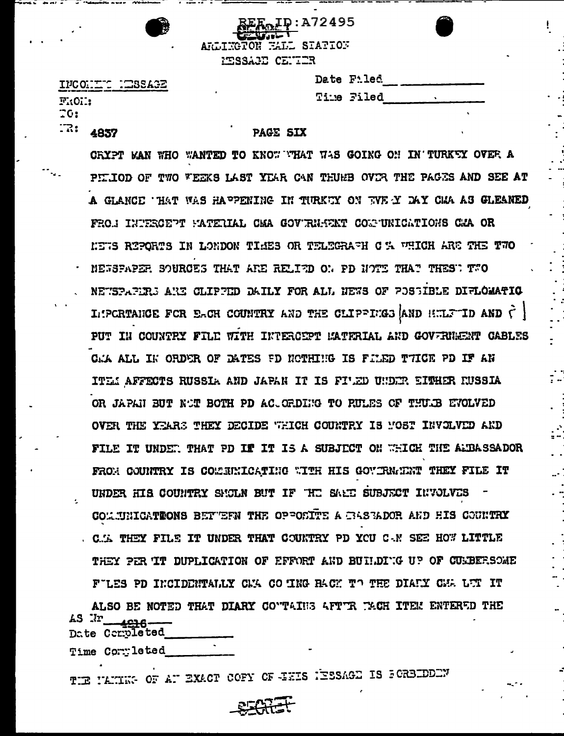|--|

ID:A72495 ARLINGTON HALL STATION PESSAGE CENTER

INCONTIC HESSAGE  $F:O$  :::  $\overline{10}$ :  $\mathbb{R}$ : 4837

| Date Filed |  |
|------------|--|
| Time Filed |  |

# PAGE SIX

CRYPT MAN WHO WANTED TO KNOW WHAT WAS GOING ON IN TURKEY OVER A PILIOD OF TWO VEEKS LAST YEAR CAN THUMB OVER THE PAGES AND SEE AT A GLANCE THAT WAS HAPPENING IN TURKEY ON TWE Y DAY CHA AS GLEANED FROM INTERCEPT MATERIAL CMA GOVERNMENT CONTINICATIONS CMA OR KETS REPORTS IN LONDON TIMES OR TELEGRAFH C % WHICH ARE THE TWO NETSPAPER SOURCES THAT ARE RELIED ON PD NOTE THAT THEST TTO NETSPAPIRS ARE CLIPPED DAILY FOR ALL NEWS OF POSSIBLE DIFLOMATIO IMPORTANCE FOR EACH COUNTRY AND THE CLIPPINGS AND HULF ID AND  $\zeta$ PUT IN COUNTRY FILE WITH INTERCEPT MATERIAL AND GOVERNMENT CABLES CAA ALL IN ORDER OF DATES FD NOTHING IS FILED TTICE PD IF AN ITEM AFFECTS RUSSIA AND JAPAN IT IS FIWED UNDER EITHER RUSSIA OR JAPAN BUT NOT BOTH PD ACUGRDING TO RULES OF THULB EVOLVED OVER THE YEARS THEY DECIDE WHICH COUNTRY IS MOST INVOLVED AND FILE IT UNDER THAT PD IF IT IS A SUBJECT ON WHICH THE ALBASSADOR FROM COUNTRY IS COMMINICATING WITH HIS GOVIRN: THEY FILE IT UNDER HIS COUNTRY SMCLN BUT IF THE SAME SUBJECT INVOLVES COMMINICATIONS BETWEEN THE OPPOSITE A GASBADOR AND HIS COUNTRY C. I. THEY FILE IT UNDER THAT COUNTRY PD YOU C.N SEE HOW LITTLE THEY PER IT DUPLICATION OF EFFORT AND BUILDIG UP OF CURBERSOME FILES PD INCIDENTALLY CMA CO ING RACK TO THE DIARY CMA LTT IT

ALSO BE NOTED THAT DIARY COVTAINS AFTIR TACH ITEM ENTERED THE AS Ur\_ **4816-**Date Corroleted

Time Commileted

TIE NAMING OF AN EXACT COFY OF EXIS NEESAGE IS FORBIDDEN

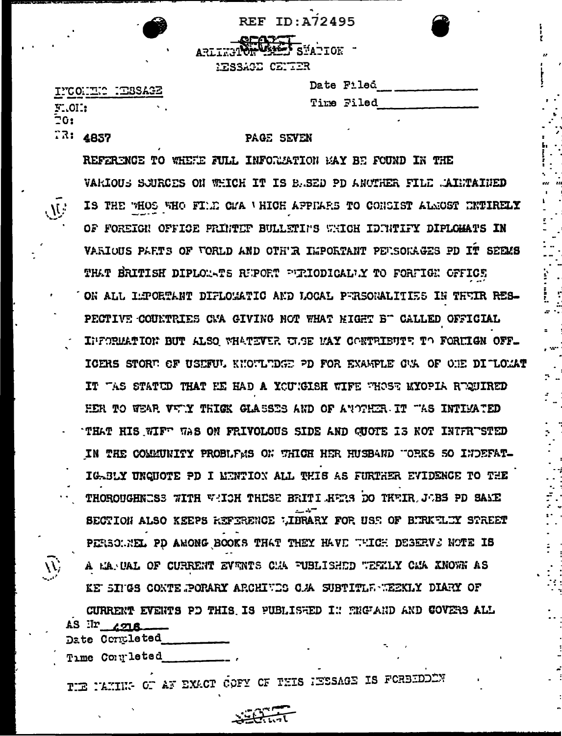**REF ID: A72495** 

ARLIET STATION MESSAGE CENTER

Date Filed Time Filed

# INCONTIC HESSAGE FLOH: **20:**  $73:4857$

# PAGE SEVEN

REFERENCE TO WHEEE FULL INFORMATION MAY BE FOUND IN THE VARIOUS SCURCES ON WHICH IT IS BASED PD ANOTHER FILE MAINTAINED IS THE WHOS WHO FILE CWA WHICH APPILES TO CONSIST ALNOST ENTIRELY OF FOREIGN OFFICE PRINTER BULLETINS WHICH IDINTIFY DIPLOMATS IN VARIOUS PARTS OF VORLD AND OTH'R IMPORTANT PEUSOKAGES PD IT SEEMS THAT BRITISH DIPLOXATS RUPORT PURIODICALLY TO FORFIGN OFFICE ON ALL LEPORTANT DIFLOMATIC AND LOCAL PERSONALITIES IN THEIR RES-PECTIVE COUNTRIES CMA GIVING NOT WHAT MIGHT B" CALLED OFFICIAL INFORMATION BUT ALSO WHATEVER ULSE MAY CONTRIBUTE TO FORMIGN OFF-ICERS STORT OF USEFUL KNOTLTDGE PD FOR EXAMPLE CAL OF ONE DITLOMAT IT TAS STATED THAT HE HAD A YOUTGISH WIFE THOSE MYOPIA REQUIRED HER TO WEAR VWIY THIGK GLASSES AND OF ANOTHER IT TAS INTIMATED THAT HIS WIFT WAS ON FRIVOLOUS SIDE AND GUOTE IS NOT INTFRTSTED IN THE COMMUNITY PROBLEMS ON THIGH HER HUSBAND "ORKS SO INDEFAT-IGABLY UNGUOTE PD I MENTION ALL THIS AS FURTHER EVIDENCE TO THE THOROUGHNESS WITH WHICH THESE BRITI HERS DO THEIR JOBS PD SAME SECTION ALSO KEEPS REFERENCE WIBRARY FOR USE OF BURKELIY STREET PERSONNEL PD AMONG BOOKS THAT THEY HAVE WHICH DESERVS NOTE IS A MARCAL OF CURRENT EVENTS CHA FUBLISHED WEEKLY CMA XNOWN AS KE SINGS CONTE POPARY ARCHIVES C.A SUBTITLE WEEKLY DIARY OF CURRENT EVENTS PD THIS IS PUBLISHED IN THE AND COVERS ALL AS Ir zona

Date Contleted

Time Completed

TER NAMING OF AN EXACT COFY OF THIS IESSAGE IS FORBIDDEN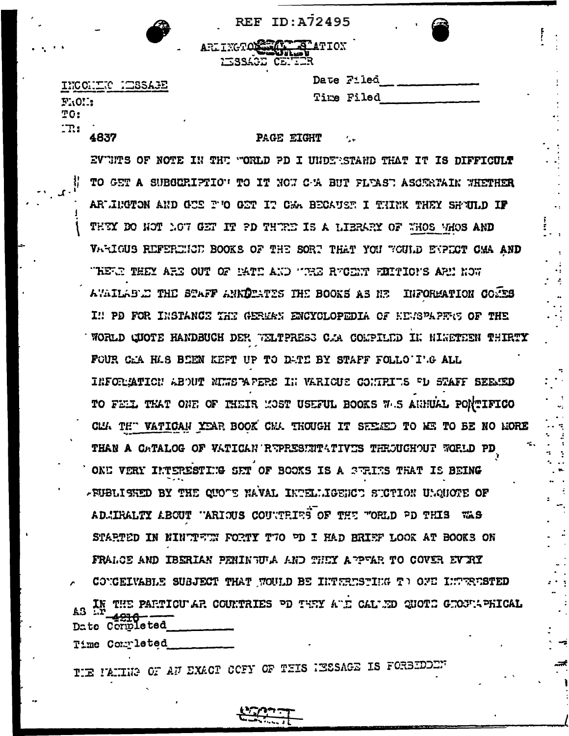| <b>REF ID:A72495</b> |  |  |  |  |  |  |  |  |
|----------------------|--|--|--|--|--|--|--|--|
|----------------------|--|--|--|--|--|--|--|--|

ARLINGTON TALL TATION **IISSAGE CENTI** 

INCONTIC MESSAGE FRON: TO:  $\mathbf{m}$ 4837

Date Filed Time Filed

PAGE EIGHT

EVTHTS OF NOTE IN THE "ORLD PD I UNDERSTAND THAT IT IS DIFFICULT TO GET A SUBGERIPTION TO IT NOW C-W BUT FLEAST ASCERTAIN WHETHER ARWINGTON AND GUS F'O GET IT CAA BECAUST I THINK THEY SHUILD IF THEY DO NOT LOT GET IT PD THREE IS A LIERARY OF WHOS WHOS AND VARIOUS REFERENCE BOOKS OF THE SORT THAT YOU TOULD ENPECT CAA AND THETH THEY ARE OUT OF MATE AND THE RECENT FIMITIONS ARE NOW AVAILABLE THE STAFF ANNITATES THE BOOKS AS NE INFORMATION COMES I !! PD FOR INSTANCE THE GERMAN ENCYCLOPEDIA OF KENSPAPENS OF THE WORLD CUOTE HANDBUCH DER WELTPRESS C.A COMPILED IN MINETEEN THIRTY FOUR CAA HAS BEEN KEPT UP TO DATE BY STAFF FOLLO'I'G ALL IRFORMATION ABOUT NIMBPAPERS IN VARIOUS CONTRITS FD STAFF SEEMED TO FELL THAT ONE OF THEIR MOST USEFUL BOOKS WAS ANNUAL PONTIFICO CLI. THE VATICAN YEAR BOOK CHA THOUGH IT SEEMED TO ME TO BE NO MORE THAN A CATALOG OF VATICAN REPRESENTATIVES THROUGHOUT FORLD PD ONE VERY INTERESTING SET OF BOOKS IS A SERIES THAT IS BEING -FUBLISHED BY THE QUOTE NAVAL INTELLIGENCT STOTION UNQUOTE OF ADMIRALTY ABOUT "ARIOUS COUNTRIES OF THE "ORLD PD THIS WAS STARTED IN NINTTETN FORTY TTO PD I HAD BRIEF LOOK AT BOOKS ON FRALGE AND IBERIAN PENINGULA AND THEY A PRAR TO COVER EVIRY CONCEIVABLE SUBJECT THAT WOULD BE INTERNSTING TO ONE INTERNSTED IN THE PARTICULAR COUNTRIES OD THRY AUD CALUED QUOTE GEOGLAPHICAL AS. Date Coribleted

Time Completed

TIE PAINS OF AN EXACT COFY OF THIS NESSAGE IS FORBIDDEM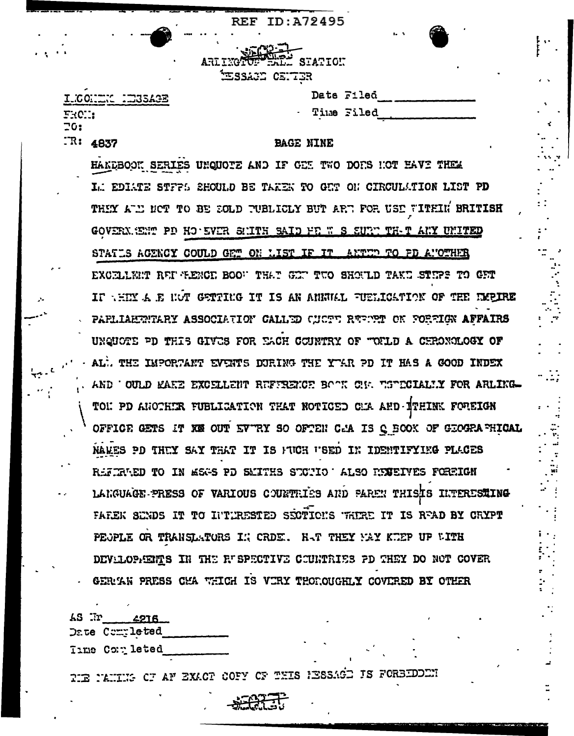| <b>AD-D-</b><br>BELL STATION<br>32 CENTER |              |            |  |
|-------------------------------------------|--------------|------------|--|
|                                           |              | Date Filed |  |
|                                           | Aalia auir - |            |  |

ILCONNIC NEUGAGE FROM:  $70:$  $TR: 4837$ 

**BAGE NINE** 

**REF ID: A72495** 

ARE TIMER

بنوي<del>.</del><br>ت

HANDBOOK SERIES UNQUOTE AND IF GET TWO DOES HOT HAVE THEM I. EDIATE STFFS SHOULD BE TAKEN TO GUT ON CIRCULATION LIST PD THEY ALL NOT TO BE SOLD PUBLICLY BUT ARP. FOR USE WITHIN BRITISH GOVERN. SEMP PD HO' EVER SUITH SAID HE W S SURP TH-T ANY UNITED STATLS ACENCY COULD GET ON LIST IF IT ANTUR TO PD ANOTHER EXCELLERT REF FENCE BOOT THAT GET TUO SHOULD TAKE STEPS TO GET IF THIM A E HOT GETTING IT IS AN ANNUAL FUELICATION OF THE EMPIRE PAPLIAEERITARY ASSOCIATION CALLED CUCTT REPORT ON FORFIGN AFFAIRS UNQUOTE PD THIS GIVES FOR EACH COUNTRY OF "OFLD A CHRONOLOGY OF - AL. THE IMPORTANT EVENTS DURING THE YEAR PD IT HAS A GOOD INDEX AND OULD KAKE EXCELLENT REFERENCE BOOK ON TSOCCIALLY FOR ARLIKG-TON PD ANOTHIR FUBLICATION THAT NOTICED CA AND ITHINK FOREIGN OFFICE GETS IT XE OUT EVTRY SO OFTEN CAM IS Q BOOK OF GEOGRAPHICAL NAMES PD THUY SAY THAT IT IS FUCH FSED IN IDENTIFYING PLACES REFERAED TO IN MEAS PD SMITHS SECTIO LALSO REMEIVES FOREIGN LANGUAGE PRESS OF VARIOUS COUNTRIES AND PAREN THIS INTERESTING FAREK SINDS IT TO INTURESTED SECTIONS THERE IT IS READ BY CRYPT PEOPLE OR TRANSLATORS IN CRDE. HAT THEY MAY KIEP UP WITH DEVILOPIENTS IN THE RUSPECTIVE COUNTRIES PD THEY DO NOT COVER GERIAN PRESS CHA WHICH IS VIRY THOROUGHLY COVERED BY OTHER

. . .

AS Ir 4216 Date Commleted

Time Completed

TIE NAMING OF AF EXACT COFY OF THIS HESSAGD IS FORBIDODN